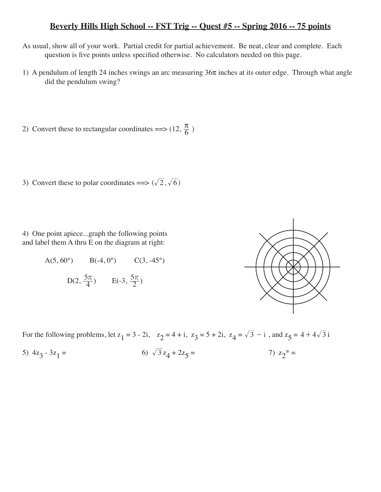## **Beverly Hills High School -- FST Trig -- Quest #5 -- Spring 2016 -- 75 points**

- As usual, show all of your work. Partial credit for partial achievement. Be neat, clear and complete. Each question is five points unless specified otherwise. No calculators needed on this page.
- 1) A pendulum of length 24 inches swings an arc measuring  $36\pi$  inches at its outer edge. Through what angle did the pendulum swing?
- 2) Convert these to rectangular coordinates ==>  $(12, \frac{\pi}{6})$
- 3) Convert these to polar coordinates ==>  $(\sqrt{2}, \sqrt{6})$

4) One point apiece...graph the following points and label them A thru E on the diagram at right:

A(5, 60°) B(-4, 0°) C(3, -45°)  $D(2, \frac{5\pi}{4})$  E(-3,  $\frac{5\pi}{2}$ )



For the following problems, let  $z_1 = 3 - 2i$ ,  $z_2 = 4 + i$ ,  $z_3 = 5 + 2i$ ,  $z_4 = \sqrt{3} - i$ , and  $z_5 = 4 + 4\sqrt{3}i$ 5)  $4z_3 - 3z_1 =$  6)  $\sqrt{3}z_4 + 2z_5 =$  7)  $z_2^* =$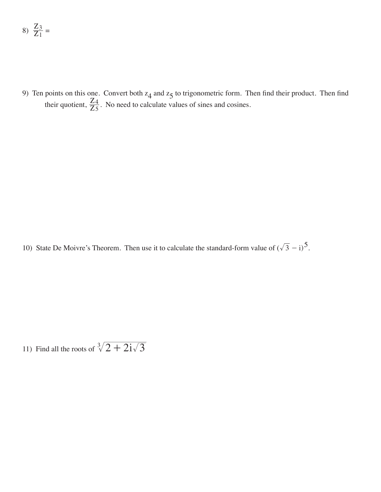$$
8) \frac{Z_3}{Z_1} =
$$

9) Ten points on this one. Convert both  $z_4$  and  $z_5$  to trigonometric form. Then find their product. Then find their quotient,  $\frac{2}{Z}$  $\overline{Z}$  $\frac{4}{5}$ . No need to calculate values of sines and cosines.

10) State De Moivre's Theorem. Then use it to calculate the standard-form value of  $(\sqrt{3} - i)^5$ .

11) Find all the roots of  $\sqrt[3]{2 + 2i\sqrt{3}}$